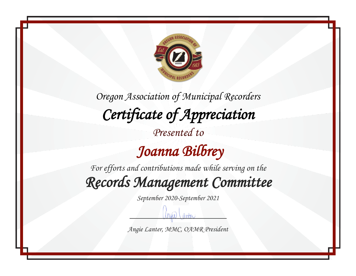

#### *Joanna Bilbrey*

*For efforts and contributions made while serving on the Records Management Committee* 

*September 2020-September 2021*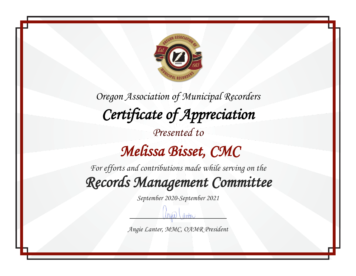

*Oregon Association of Municipal Recorders Certificate of Appreciation Presented to Melissa Bisset, CMC* 

*For efforts and contributions made while serving on the Records Management Committee* 

*September 2020-September 2021*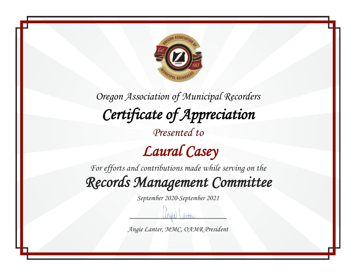

*Presented to*

### *Laural Casey*

*For efforts and contributions made while serving on the*

*Records Management Committee* 

*September 2020-September 2021*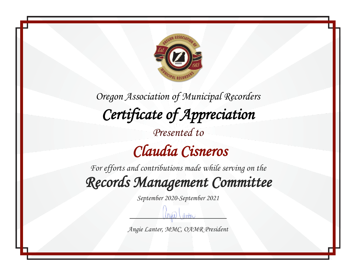

*For efforts and contributions made while serving on the Records Management Committee* 

*September 2020-September 2021*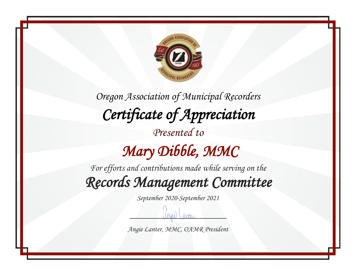

*For efforts and contributions made while serving on the Records Management Committee* 

*September 2020-September 2021*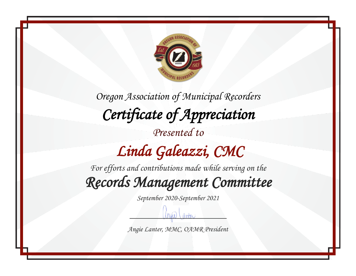

### *Linda Galeazzi, CMC*

*For efforts and contributions made while serving on the Records Management Committee* 

*September 2020-September 2021*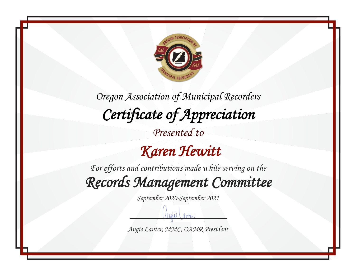

#### *Karen Hewitt*

*For efforts and contributions made while serving on the Records Management Committee* 

*September 2020-September 2021*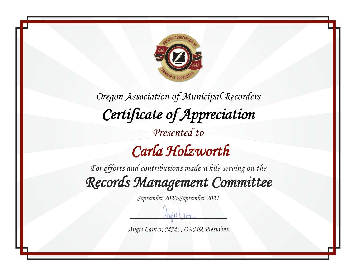

 *Carla Holzworth* 

*For efforts and contributions made while serving on the Records Management Committee* 

*September 2020-September 2021*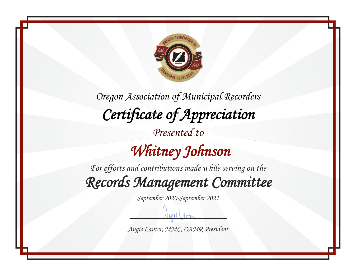

*For efforts and contributions made while serving on the Records Management Committee* 

*September 2020-September 2021*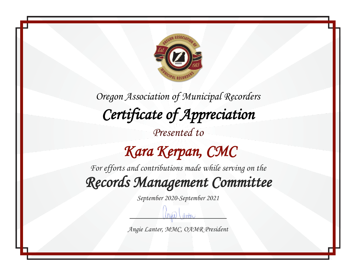

 *Kara Kerpan, CMC* 

*For efforts and contributions made while serving on the*

*Records Management Committee* 

*September 2020-September 2021*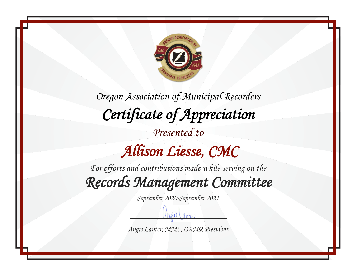

*Oregon Association of Municipal Recorders Certificate of Appreciation Presented to Allison Liesse, CMC* 

*For efforts and contributions made while serving on the Records Management Committee* 

*September 2020-September 2021*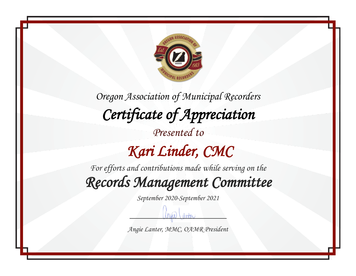

 *Kari Linder, CMC* 

*For efforts and contributions made while serving on the Records Management Committee* 

*September 2020-September 2021*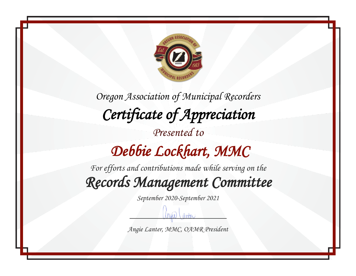

*Oregon Association of Municipal Recorders Certificate of Appreciation Presented to Debbie Lockhart, MMC* 

*For efforts and contributions made while serving on the Records Management Committee* 

*September 2020-September 2021*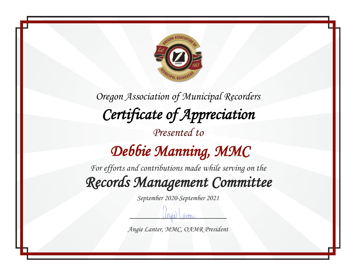

#### *Debbie Manning, MMC*

*For efforts and contributions made while serving on the Records Management Committee* 

*September 2020-September 2021*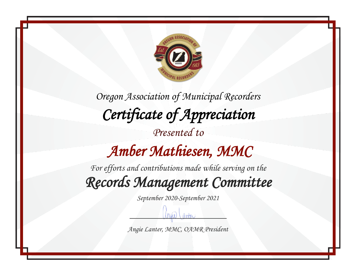

*Oregon Association of Municipal Recorders Certificate of Appreciation Presented to Amber Mathiesen, MMC* 

*For efforts and contributions made while serving on the Records Management Committee* 

*September 2020-September 2021*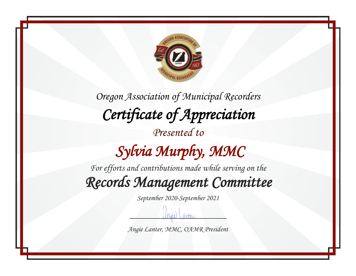

# *Sylvia Murphy, MMC*

*For efforts and contributions made while serving on the Records Management Committee* 

*September 2020-September 2021*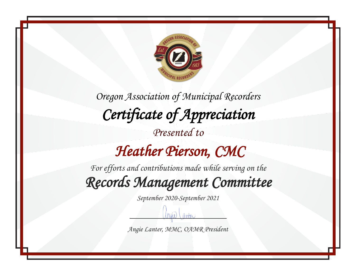

 *Heather Pierson, CMC* 

*For efforts and contributions made while serving on the Records Management Committee* 

*September 2020-September 2021*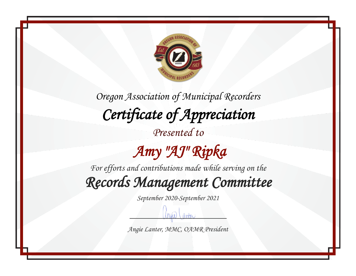

*Presented to*

## *Amy "AJ" Ripka*

*For efforts and contributions made while serving on the*

*Records Management Committee* 

*September 2020-September 2021*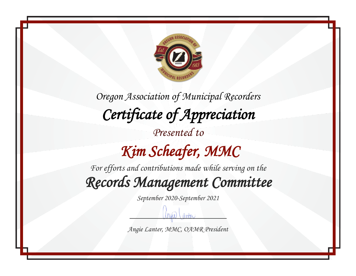

## *Kim Scheafer, MMC*

*For efforts and contributions made while serving on the Records Management Committee* 

*September 2020-September 2021*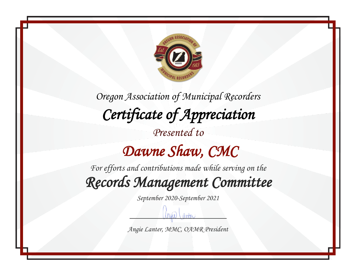

*For efforts and contributions made while serving on the Records Management Committee* 

*September 2020-September 2021*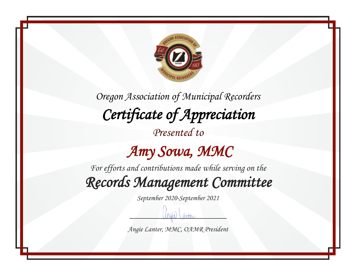

#### *Amy Sowa, MMC*

*For efforts and contributions made while serving on the Records Management Committee* 

*September 2020-September 2021*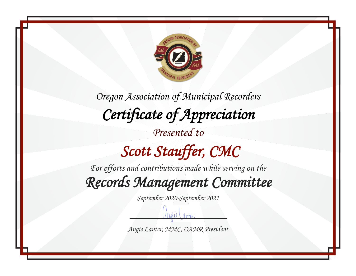

# *Scott Stauffer, CMC*

*For efforts and contributions made while serving on the*

*Records Management Committee* 

*September 2020-September 2021*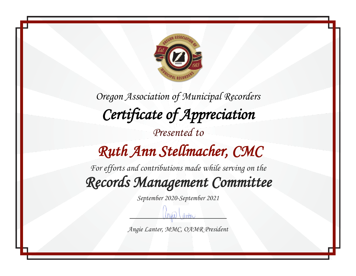

*Oregon Association of Municipal Recorders Certificate of Appreciation Presented to Ruth Ann Stellmacher, CMC* 

*For efforts and contributions made while serving on the Records Management Committee* 

*September 2020-September 2021*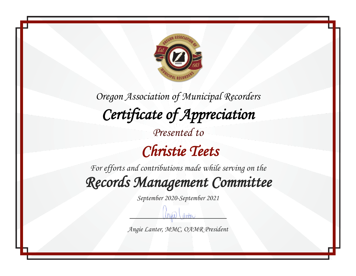

*For efforts and contributions made while serving on the Records Management Committee* 

*September 2020-September 2021*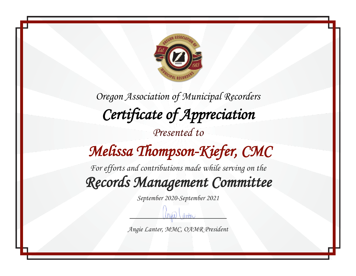

### *Melissa Thompson-Kiefer, CMC*

*For efforts and contributions made while serving on the Records Management Committee* 

*September 2020-September 2021*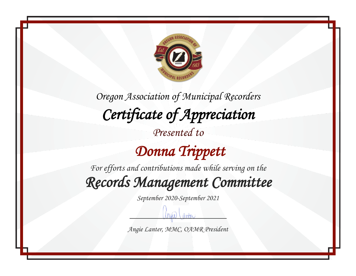

 *Donna Trippett* 

*For efforts and contributions made while serving on the*

*Records Management Committee* 

*September 2020-September 2021*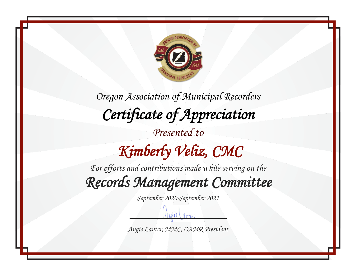

*Oregon Association of Municipal Recorders Certificate of Appreciation Presented to Kimberly Veliz, CMC* 

*For efforts and contributions made while serving on the Records Management Committee* 

*September 2020-September 2021*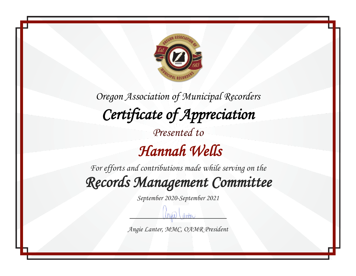

*For efforts and contributions made while serving on the Records Management Committee* 

*September 2020-September 2021*